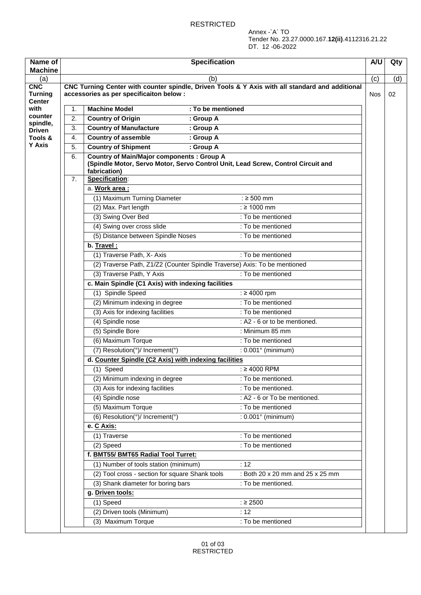Annex -`A` TO Tender No. 23.27.0000.167.**12(ii)**.4112316.21.22 DT. 12 -06-2022

| Name of<br><b>Machine</b>              |    | <b>Specification</b>                                                                                                                                  | A/U        | Qty |
|----------------------------------------|----|-------------------------------------------------------------------------------------------------------------------------------------------------------|------------|-----|
| (a)                                    |    | (b)                                                                                                                                                   | (c)        | (d) |
| <b>CNC</b><br><b>Turning</b><br>Center |    | CNC Turning Center with counter spindle, Driven Tools & Y Axis with all standard and additional<br>accessories as per specificaiton below :           | <b>Nos</b> | 02  |
| with                                   | 1. | : To be mentioned<br><b>Machine Model</b>                                                                                                             |            |     |
| counter                                | 2. | <b>Country of Origin</b><br>: Group A                                                                                                                 |            |     |
| spindle,<br><b>Driven</b>              | 3. | <b>Country of Manufacture</b><br>: Group A                                                                                                            |            |     |
| Tools &                                | 4. | <b>Country of assemble</b><br>: Group A                                                                                                               |            |     |
| <b>Y Axis</b>                          | 5. | <b>Country of Shipment</b><br>: Group A                                                                                                               |            |     |
|                                        | 6. | <b>Country of Main/Major components : Group A</b><br>(Spindle Motor, Servo Motor, Servo Control Unit, Lead Screw, Control Circuit and<br>fabrication) |            |     |
|                                        | 7. | Specification:                                                                                                                                        |            |     |
|                                        |    | a. Work area:                                                                                                                                         |            |     |
|                                        |    | : $\geq 500$ mm<br>(1) Maximum Turning Diameter                                                                                                       |            |     |
|                                        |    | : $\geq 1000$ mm<br>(2) Max. Part length                                                                                                              |            |     |
|                                        |    | (3) Swing Over Bed<br>: To be mentioned                                                                                                               |            |     |
|                                        |    | (4) Swing over cross slide<br>: To be mentioned                                                                                                       |            |     |
|                                        |    | (5) Distance between Spindle Noses<br>: To be mentioned                                                                                               |            |     |
|                                        |    | b. Travel:                                                                                                                                            |            |     |
|                                        |    | (1) Traverse Path, X- Axis<br>: To be mentioned                                                                                                       |            |     |
|                                        |    | (2) Traverse Path, Z1/Z2 (Counter Spindle Traverse) Axis: To be mentioned                                                                             |            |     |
|                                        |    | (3) Traverse Path, Y Axis<br>: To be mentioned                                                                                                        |            |     |
|                                        |    | c. Main Spindle (C1 Axis) with indexing facilities                                                                                                    |            |     |
|                                        |    | (1) Spindle Speed<br>: $\geq 4000$ rpm                                                                                                                |            |     |
|                                        |    | (2) Minimum indexing in degree<br>: To be mentioned                                                                                                   |            |     |
|                                        |    | (3) Axis for indexing facilities<br>: To be mentioned                                                                                                 |            |     |
|                                        |    | (4) Spindle nose<br>: A2 - 6 or to be mentioned.                                                                                                      |            |     |
|                                        |    | (5) Spindle Bore<br>: Minimum 85 mm                                                                                                                   |            |     |
|                                        |    | (6) Maximum Torque<br>: To be mentioned                                                                                                               |            |     |
|                                        |    | (7) Resolution(°)/ Increment(°)<br>: 0.001° (minimum)                                                                                                 |            |     |
|                                        |    | d. Counter Spindle (C2 Axis) with indexing facilities                                                                                                 |            |     |
|                                        |    | (1) Speed<br>: ≥4000 RPM                                                                                                                              |            |     |
|                                        |    | (2) Minimum indexing in degree<br>: To be mentioned.                                                                                                  |            |     |
|                                        |    | (3) Axis for indexing facilities<br>: To be mentioned.                                                                                                |            |     |
|                                        |    | : A2 - 6 or To be mentioned.<br>(4) Spindle nose                                                                                                      |            |     |
|                                        |    | (5) Maximum Torque<br>: To be mentioned                                                                                                               |            |     |
|                                        |    | (6) Resolution(°)/ Increment(°)<br>: 0.001° (minimum)                                                                                                 |            |     |
|                                        |    | e. C Axis:                                                                                                                                            |            |     |
|                                        |    | (1) Traverse<br>: To be mentioned                                                                                                                     |            |     |
|                                        |    | : To be mentioned<br>(2) Speed                                                                                                                        |            |     |
|                                        |    | f. BMT55/ BMT65 Radial Tool Turret:                                                                                                                   |            |     |
|                                        |    | :12<br>(1) Number of tools station (minimum)                                                                                                          |            |     |
|                                        |    | (2) Tool cross - section for square Shank tools<br>: Both 20 x 20 mm and 25 x 25 mm                                                                   |            |     |
|                                        |    | (3) Shank diameter for boring bars<br>: To be mentioned.                                                                                              |            |     |
|                                        |    | g. Driven tools:                                                                                                                                      |            |     |
|                                        |    | : 2500<br>$(1)$ Speed                                                                                                                                 |            |     |
|                                        |    | (2) Driven tools (Minimum)<br>: 12                                                                                                                    |            |     |
|                                        |    | (3) Maximum Torque<br>: To be mentioned                                                                                                               |            |     |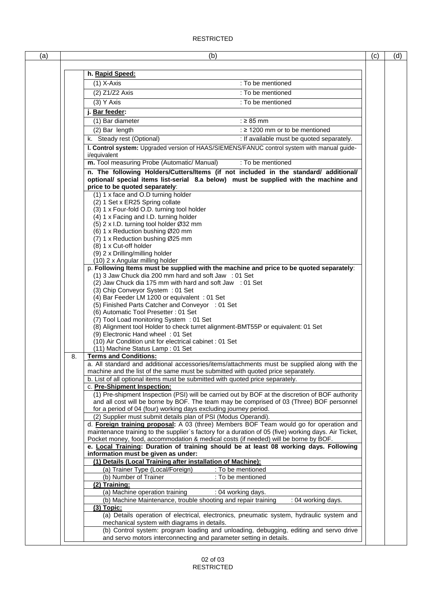| (a) | (b)                                                                                                                                                                                                            | (c) | (d) |
|-----|----------------------------------------------------------------------------------------------------------------------------------------------------------------------------------------------------------------|-----|-----|
|     |                                                                                                                                                                                                                |     |     |
|     | h. Rapid Speed:                                                                                                                                                                                                |     |     |
|     | $(1)$ X-Axis<br>: To be mentioned<br>: To be mentioned                                                                                                                                                         |     |     |
|     | (2) Z1/Z2 Axis                                                                                                                                                                                                 |     |     |
|     | $(3)$ Y Axis<br>: To be mentioned                                                                                                                                                                              |     |     |
|     | j. Bar feeder:                                                                                                                                                                                                 |     |     |
|     | : $\geq 85$ mm<br>(1) Bar diameter<br>: $\geq$ 1200 mm or to be mentioned                                                                                                                                      |     |     |
|     | (2) Bar length                                                                                                                                                                                                 |     |     |
|     | k. Steady rest (Optional)<br>: If available must be quoted separately.<br>I. Control system: Upgraded version of HAAS/SIEMENS/FANUC control system with manual guide-                                          |     |     |
|     | i/equivalent                                                                                                                                                                                                   |     |     |
|     | : To be mentioned<br>m. Tool measuring Probe (Automatic/ Manual)                                                                                                                                               |     |     |
|     | n. The following Holders/Cutters/Items (if not included in the standard/ additional/<br>optional/ special items list-serial 8.a below) must be supplied with the machine and<br>price to be quoted separately: |     |     |
|     | (1) 1 x face and O.D turning holder                                                                                                                                                                            |     |     |
|     | (2) 1 Set x ER25 Spring collate                                                                                                                                                                                |     |     |
|     | (3) 1 x Four-fold O.D. turning tool holder                                                                                                                                                                     |     |     |
|     | (4) 1 x Facing and I.D. turning holder<br>(5) 2 x I.D. turning tool holder Ø32 mm                                                                                                                              |     |     |
|     | (6) 1 x Reduction bushing Ø20 mm                                                                                                                                                                               |     |     |
|     | (7) 1 x Reduction bushing Ø25 mm                                                                                                                                                                               |     |     |
|     | (8) 1 x Cut-off holder                                                                                                                                                                                         |     |     |
|     | (9) 2 x Drilling/milling holder<br>(10) 2 x Angular milling holder                                                                                                                                             |     |     |
|     | p. Following Items must be supplied with the machine and price to be quoted separately:                                                                                                                        |     |     |
|     | (1) 3 Jaw Chuck dia 200 mm hard and soft Jaw : 01 Set                                                                                                                                                          |     |     |
|     | (2) Jaw Chuck dia 175 mm with hard and soft Jaw : 01 Set                                                                                                                                                       |     |     |
|     | (3) Chip Conveyor System: 01 Set<br>(4) Bar Feeder LM 1200 or equivalent : 01 Set                                                                                                                              |     |     |
|     | (5) Finished Parts Catcher and Conveyor : 01 Set                                                                                                                                                               |     |     |
|     | (6) Automatic Tool Presetter : 01 Set                                                                                                                                                                          |     |     |
|     | (7) Tool Load monitoring System : 01 Set                                                                                                                                                                       |     |     |
|     | (8) Alignment tool Holder to check turret alignment-BMT55P or equivalent: 01 Set                                                                                                                               |     |     |
|     | (9) Electronic Hand wheel: 01 Set<br>(10) Air Condition unit for electrical cabinet : 01 Set                                                                                                                   |     |     |
|     | (11) Machine Status Lamp: 01 Set                                                                                                                                                                               |     |     |
|     | <b>Terms and Conditions:</b><br>8.                                                                                                                                                                             |     |     |
|     | a. All standard and additional accessories/items/attachments must be supplied along with the                                                                                                                   |     |     |
|     | machine and the list of the same must be submitted with quoted price separately.                                                                                                                               |     |     |
|     | b. List of all optional items must be submitted with quoted price separately.<br>c. Pre-Shipment Inspection:                                                                                                   |     |     |
|     | (1) Pre-shipment Inspection (PSI) will be carried out by BOF at the discretion of BOF authority                                                                                                                |     |     |
|     | and all cost will be borne by BOF. The team may be comprised of 03 (Three) BOF personnel                                                                                                                       |     |     |
|     | for a period of 04 (four) working days excluding journey period.                                                                                                                                               |     |     |
|     | (2) Supplier must submit details plan of PSI (Modus Operandi).                                                                                                                                                 |     |     |
|     | d. Foreign training proposal: A 03 (three) Members BOF Team would go for operation and<br>maintenance training to the supplier's factory for a duration of 05 (five) working days. Air Ticket,                 |     |     |
|     | Pocket money, food, accommodation & medical costs (if needed) will be borne by BOF.                                                                                                                            |     |     |
|     | e. Local Training: Duration of training should be at least 08 working days. Following                                                                                                                          |     |     |
|     | information must be given as under:                                                                                                                                                                            |     |     |
|     | (1) Details (Local Training after installation of Machine):                                                                                                                                                    |     |     |
|     | (a) Trainer Type (Local/Foreign)<br>: To be mentioned                                                                                                                                                          |     |     |
|     | (b) Number of Trainer<br>: To be mentioned<br>(2) Training:                                                                                                                                                    |     |     |
|     | (a) Machine operation training<br>: 04 working days.                                                                                                                                                           |     |     |
|     | (b) Machine Maintenance, trouble shooting and repair training<br>: 04 working days.                                                                                                                            |     |     |
|     | $(3)$ Topic:                                                                                                                                                                                                   |     |     |
|     | (a) Details operation of electrical, electronics, pneumatic system, hydraulic system and                                                                                                                       |     |     |
|     | mechanical system with diagrams in details.                                                                                                                                                                    |     |     |
|     | (b) Control system: program loading and unloading, debugging, editing and servo drive<br>and servo motors interconnecting and parameter setting in details.                                                    |     |     |
|     |                                                                                                                                                                                                                |     |     |

**RESTRICTED**